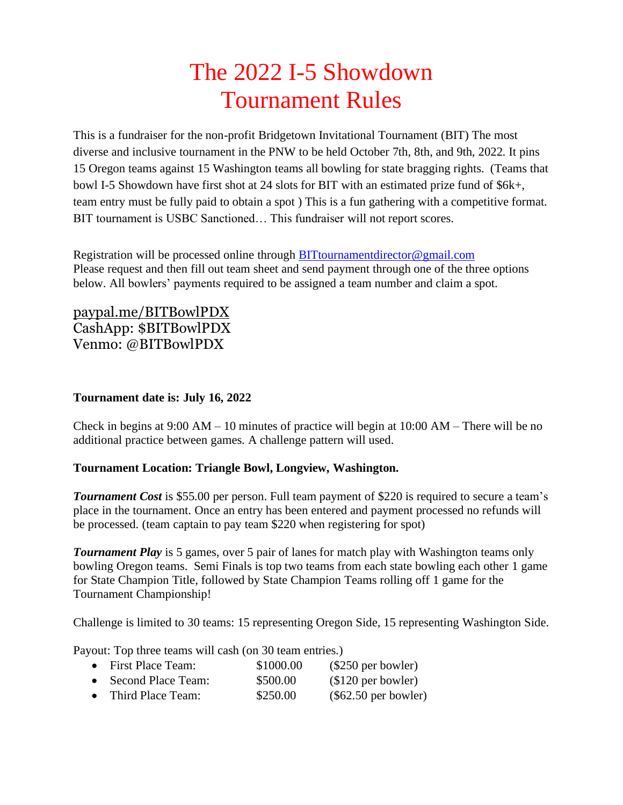# The 2022 I-5 Showdown Tournament Rules

This is a fundraiser for the non-profit Bridgetown Invitational Tournament (BIT) The most diverse and inclusive tournament in the PNW to be held October 7th, 8th, and 9th, 2022. It pins 15 Oregon teams against 15 Washington teams all bowling for state bragging rights. (Teams that bowl I-5 Showdown have first shot at 24 slots for BIT with an estimated prize fund of \$6k+, team entry must be fully paid to obtain a spot ) This is a fun gathering with a competitive format. BIT tournament is USBC Sanctioned… This fundraiser will not report scores.

Registration will be processed online through [BITtournamentdirector@gmail.com](mailto:BITtournamentdirector@gmail.com) Please request and then fill out team sheet and send payment through one of the three options below. All bowlers' payments required to be assigned a team number and claim a spot.

[paypal.me/BITBowlPDX](https://nam12.safelinks.protection.outlook.com/?url=http%3A%2F%2Fpaypal.me%2FBITBowlPDX&data=04%7C01%7C%7Cb9583ee88d57450b50e208da12ca4020%7C84df9e7fe9f640afb435aaaaaaaaaaaa%7C1%7C0%7C637842957111137146%7CUnknown%7CTWFpbGZsb3d8eyJWIjoiMC4wLjAwMDAiLCJQIjoiV2luMzIiLCJBTiI6Ik1haWwiLCJXVCI6Mn0%3D%7C3000&sdata=eXvEqoH1C8pSBfFqoeQMdcJV1BnhdB%2FWmcI380POgDk%3D&reserved=0) CashApp: \$BITBowlPDX Venmo: @BITBowlPDX

## **Tournament date is: July 16, 2022**

Check in begins at  $9:00 \text{ AM} - 10$  minutes of practice will begin at  $10:00 \text{ AM} -$  There will be no additional practice between games. A challenge pattern will used.

## **Tournament Location: Triangle Bowl, Longview, Washington.**

**Tournament Cost** is \$55.00 per person. Full team payment of \$220 is required to secure a team's place in the tournament. Once an entry has been entered and payment processed no refunds will be processed. (team captain to pay team \$220 when registering for spot)

*Tournament Play* is 5 games, over 5 pair of lanes for match play with Washington teams only bowling Oregon teams. Semi Finals is top two teams from each state bowling each other 1 game for State Champion Title, followed by State Champion Teams rolling off 1 game for the Tournament Championship!

Challenge is limited to 30 teams: 15 representing Oregon Side, 15 representing Washington Side.

Payout: Top three teams will cash (on 30 team entries.)

| • First Place Team:           | \$1000.00 | $(\$250$ per bowler) |
|-------------------------------|-----------|----------------------|
| • Second Place Team:          | \$500.00  | $$120$ per bowler)   |
| <del>. .</del> <del>.</del> . | $A - A$   | (0.620)(1.1)         |

• Third Place Team:  $$250.00$  (\$62.50 per bowler)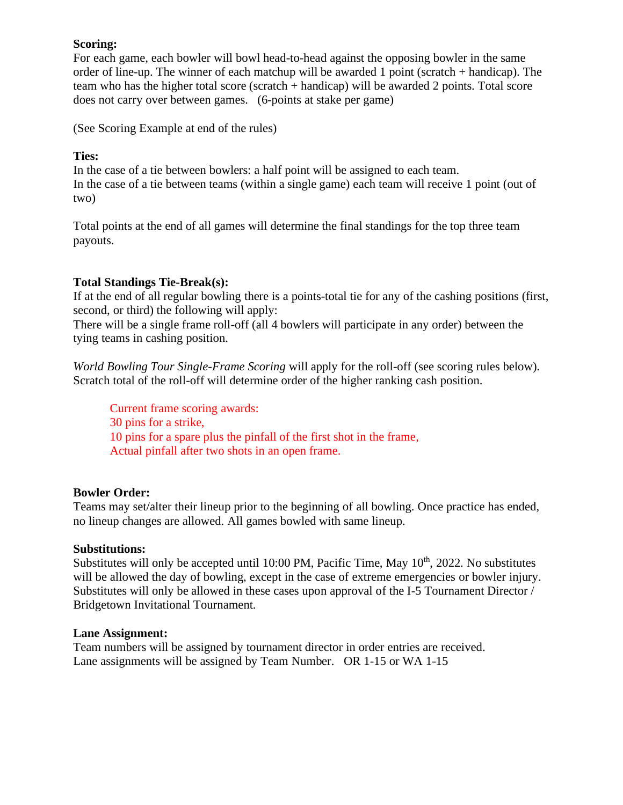## **Scoring:**

For each game, each bowler will bowl head-to-head against the opposing bowler in the same order of line-up. The winner of each matchup will be awarded 1 point (scratch + handicap). The team who has the higher total score (scratch + handicap) will be awarded 2 points. Total score does not carry over between games. (6-points at stake per game)

(See Scoring Example at end of the rules)

### **Ties:**

In the case of a tie between bowlers: a half point will be assigned to each team. In the case of a tie between teams (within a single game) each team will receive 1 point (out of two)

Total points at the end of all games will determine the final standings for the top three team payouts.

## **Total Standings Tie-Break(s):**

If at the end of all regular bowling there is a points-total tie for any of the cashing positions (first, second, or third) the following will apply:

There will be a single frame roll-off (all 4 bowlers will participate in any order) between the tying teams in cashing position.

*World Bowling Tour Single-Frame Scoring* will apply for the roll-off (see scoring rules below). Scratch total of the roll-off will determine order of the higher ranking cash position.

Current frame scoring awards: 30 pins for a strike, 10 pins for a spare plus the pinfall of the first shot in the frame, Actual pinfall after two shots in an open frame.

#### **Bowler Order:**

Teams may set/alter their lineup prior to the beginning of all bowling. Once practice has ended, no lineup changes are allowed. All games bowled with same lineup.

#### **Substitutions:**

Substitutes will only be accepted until 10:00 PM, Pacific Time, May  $10<sup>th</sup>$ , 2022. No substitutes will be allowed the day of bowling, except in the case of extreme emergencies or bowler injury. Substitutes will only be allowed in these cases upon approval of the I-5 Tournament Director / Bridgetown Invitational Tournament.

#### **Lane Assignment:**

Team numbers will be assigned by tournament director in order entries are received. Lane assignments will be assigned by Team Number. OR 1-15 or WA 1-15